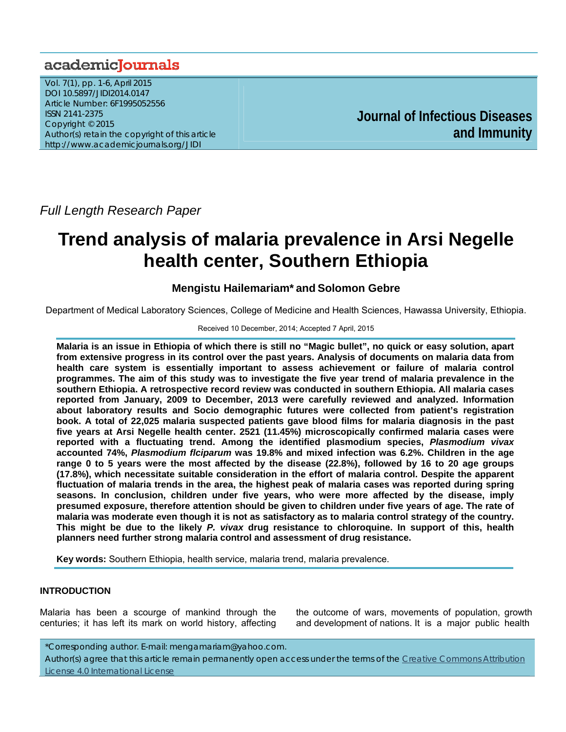# academicJournals

Vol. 7(1), pp. 1-6, April 2015 DOI 10.5897/JIDI2014.0147 Article Number: 6F1995052556 ISSN 2141-2375 Copyright © 2015 Author(s) retain the copyright of this article http://www.academicjournals.org/JIDI

# **Journal of Infectious Diseases and Immunity**

*Full Length Research Paper* 

# **Trend analysis of malaria prevalence in Arsi Negelle health center, Southern Ethiopia**

# **Mengistu Hailemariam\* and Solomon Gebre**

Department of Medical Laboratory Sciences, College of Medicine and Health Sciences, Hawassa University, Ethiopia.

# Received 10 December, 2014; Accepted 7 April, 2015

**Malaria is an issue in Ethiopia of which there is still no "Magic bullet", no quick or easy solution, apart from extensive progress in its control over the past years. Analysis of documents on malaria data from health care system is essentially important to assess achievement or failure of malaria control programmes. The aim of this study was to investigate the five year trend of malaria prevalence in the southern Ethiopia. A retrospective record review was conducted in southern Ethiopia. All malaria cases reported from January, 2009 to December, 2013 were carefully reviewed and analyzed. Information about laboratory results and Socio demographic futures were collected from patient's registration book. A total of 22,025 malaria suspected patients gave blood films for malaria diagnosis in the past five years at Arsi Negelle health center. 2521 (11.45%) microscopically confirmed malaria cases were reported with a fluctuating trend. Among the identified plasmodium species,** *Plasmodium vivax*  **accounted 74%,** *Plasmodium flciparum* **was 19.8% and mixed infection was 6.2%. Children in the age range 0 to 5 years were the most affected by the disease (22.8%), followed by 16 to 20 age groups (17.8%), which necessitate suitable consideration in the effort of malaria control. Despite the apparent fluctuation of malaria trends in the area, the highest peak of malaria cases was reported during spring seasons. In conclusion, children under five years, who were more affected by the disease, imply presumed exposure, therefore attention should be given to children under five years of age. The rate of malaria was moderate even though it is not as satisfactory as to malaria control strategy of the country. This might be due to the likely** *P. vivax* **drug resistance to chloroquine. In support of this, health planners need further strong malaria control and assessment of drug resistance.** 

**Key words:** Southern Ethiopia, health service, malaria trend, malaria prevalence.

# **INTRODUCTION**

Malaria has been a scourge of mankind through the centuries; it has left its mark on world history, affecting

the outcome of wars, movements of population, growth and development of nations. It is a major public health

\*Corresponding author. E-mail: mengamariam@yahoo.com.

Author(s) agree that this article remain permanently open access under the terms of the Creative Commons Attribution License 4.0 International License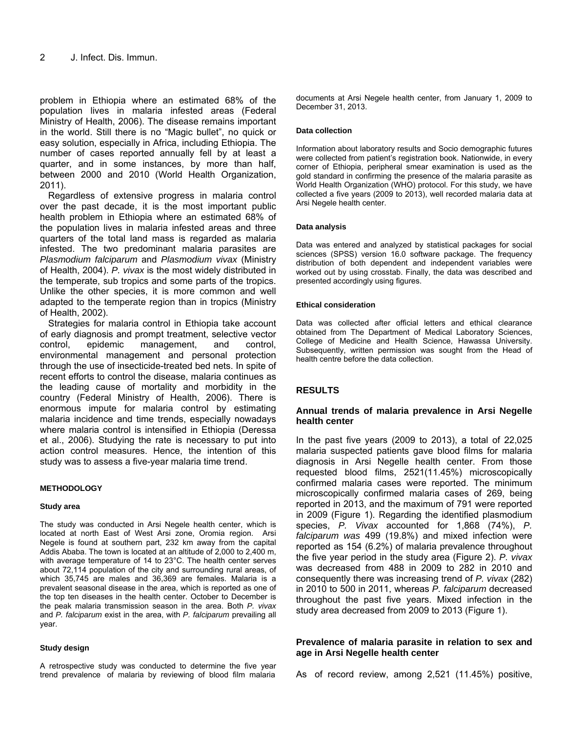problem in Ethiopia where an estimated 68% of the population lives in malaria infested areas (Federal Ministry of Health, 2006). The disease remains important in the world. Still there is no "Magic bullet", no quick or easy solution, especially in Africa, including Ethiopia. The number of cases reported annually fell by at least a quarter, and in some instances, by more than half, between 2000 and 2010 (World Health Organization, 2011).

Regardless of extensive progress in malaria control over the past decade, it is the most important public health problem in Ethiopia where an estimated 68% of the population lives in malaria infested areas and three quarters of the total land mass is regarded as malaria infested. The two predominant malaria parasites are *Plasmodium falciparum* and *Plasmodium vivax* (Ministry of Health, 2004). *P. vivax* is the most widely distributed in the temperate, sub tropics and some parts of the tropics. Unlike the other species, it is more common and well adapted to the temperate region than in tropics (Ministry of Health, 2002).

Strategies for malaria control in Ethiopia take account of early diagnosis and prompt treatment, selective vector control, epidemic management, and control, environmental management and personal protection through the use of insecticide-treated bed nets. In spite of recent efforts to control the disease, malaria continues as the leading cause of mortality and morbidity in the country (Federal Ministry of Health, 2006). There is enormous impute for malaria control by estimating malaria incidence and time trends, especially nowadays where malaria control is intensified in Ethiopia (Deressa et al., 2006). Studying the rate is necessary to put into action control measures. Hence, the intention of this study was to assess a five-year malaria time trend.

#### **METHODOLOGY**

#### **Study area**

The study was conducted in Arsi Negele health center, which is located at north East of West Arsi zone, Oromia region. Arsi Negele is found at southern part, 232 km away from the capital Addis Ababa. The town is located at an altitude of 2,000 to 2,400 m, with average temperature of 14 to 23°C. The health center serves about 72,114 population of the city and surrounding rural areas, of which 35,745 are males and 36,369 are females. Malaria is a prevalent seasonal disease in the area, which is reported as one of the top ten diseases in the health center. October to December is the peak malaria transmission season in the area. Both *P. vivax* and *P. falciparum* exist in the area, with *P. falciparum* prevailing all year.

#### **Study design**

A retrospective study was conducted to determine the five year trend prevalence of malaria by reviewing of blood film malaria documents at Arsi Negele health center, from January 1, 2009 to December 31, 2013.

#### **Data collection**

Information about laboratory results and Socio demographic futures were collected from patient's registration book. Nationwide, in every corner of Ethiopia, peripheral smear examination is used as the gold standard in confirming the presence of the malaria parasite as World Health Organization (WHO) protocol. For this study, we have collected a five years (2009 to 2013), well recorded malaria data at Arsi Negele health center.

#### **Data analysis**

Data was entered and analyzed by statistical packages for social sciences (SPSS) version 16.0 software package. The frequency distribution of both dependent and independent variables were worked out by using crosstab. Finally, the data was described and presented accordingly using figures.

#### **Ethical consideration**

Data was collected after official letters and ethical clearance obtained from The Department of Medical Laboratory Sciences, College of Medicine and Health Science, Hawassa University. Subsequently, written permission was sought from the Head of health centre before the data collection.

# **RESULTS**

### **Annual trends of malaria prevalence in Arsi Negelle health center**

In the past five years (2009 to 2013), a total of 22,025 malaria suspected patients gave blood films for malaria diagnosis in Arsi Negelle health center. From those requested blood films, 2521(11.45%) microscopically confirmed malaria cases were reported. The minimum microscopically confirmed malaria cases of 269, being reported in 2013, and the maximum of 791 were reported in 2009 (Figure 1). Regarding the identified plasmodium species, *P. Vivax* accounted for 1,868 (74%), *P. falciparum was* 499 (19.8%) and mixed infection were reported as 154 (6.2%) of malaria prevalence throughout the five year period in the study area (Figure 2). *P. vivax* was decreased from 488 in 2009 to 282 in 2010 and consequently there was increasing trend of *P. vivax* (282) in 2010 to 500 in 2011, whereas *P. falciparum* decreased throughout the past five years. Mixed infection in the study area decreased from 2009 to 2013 (Figure 1).

# **Prevalence of malaria parasite in relation to sex and age in Arsi Negelle health center**

As of record review, among 2,521 (11.45%) positive,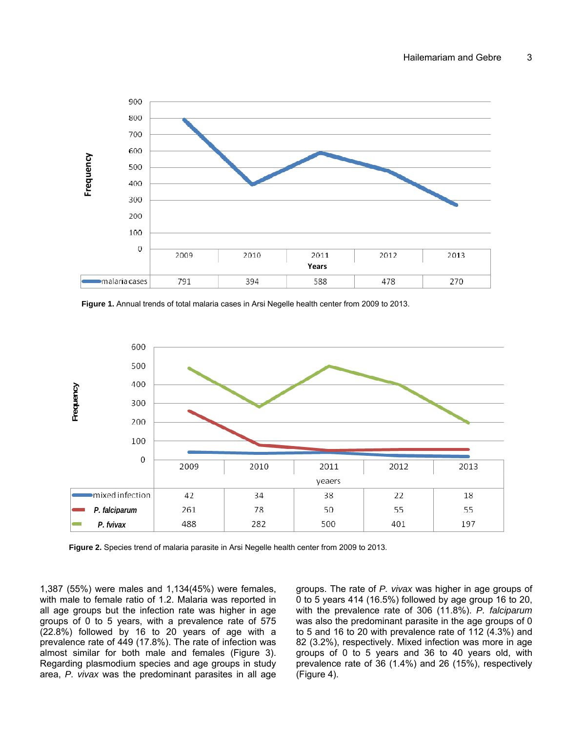

**Figure 1.** Annual trends of total malaria cases in Arsi Negelle health center from 2009 to 2013.



**Figure 2.** Species trend of malaria parasite in Arsi Negelle health center from 2009 to 2013.

1,387 (55%) were males and 1,134(45%) were females, with male to female ratio of 1.2. Malaria was reported in all age groups but the infection rate was higher in age groups of 0 to 5 years, with a prevalence rate of 575 (22.8%) followed by 16 to 20 years of age with a prevalence rate of 449 (17.8%). The rate of infection was almost similar for both male and females (Figure 3). Regarding plasmodium species and age groups in study area, *P. vivax* was the predominant parasites in all age groups. The rate of *P. vivax* was higher in age groups of 0 to 5 years 414 (16.5%) followed by age group 16 to 20, with the prevalence rate of 306 (11.8%). *P. falciparum*  was also the predominant parasite in the age groups of 0 to 5 and 16 to 20 with prevalence rate of 112 (4.3%) and 82 (3.2%), respectively. Mixed infection was more in age groups of 0 to 5 years and 36 to 40 years old, with prevalence rate of 36 (1.4%) and 26 (15%), respectively (Figure 4).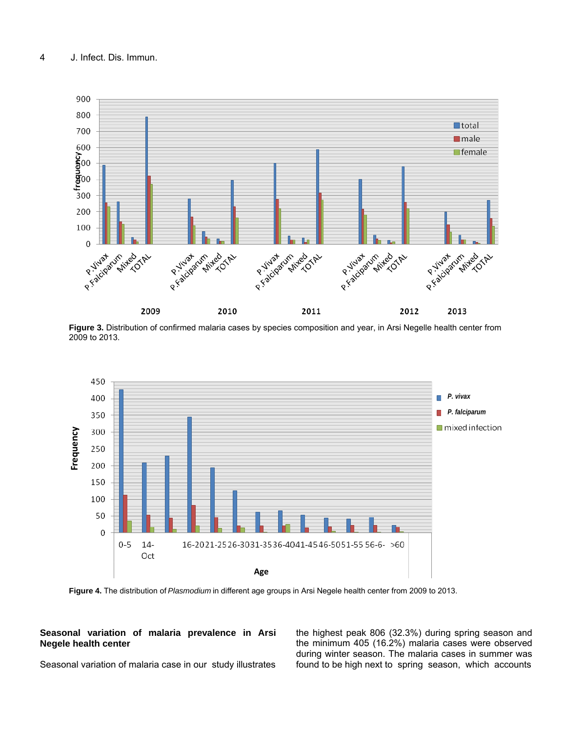

**Figure 3.** Distribution of confirmed malaria cases by species composition and year, in Arsi Negelle health center from 2009 to 2013.



**Figure 4.** The distribution of *Plasmodium* in different age groups in Arsi Negele health center from 2009 to 2013.

# **Seasonal variation of malaria prevalence in Arsi Negele health center**

Seasonal variation of malaria case in our study illustrates

the highest peak 806 (32.3%) during spring season and the minimum 405 (16.2%) malaria cases were observed during winter season. The malaria cases in summer was found to be high next to spring season, which accounts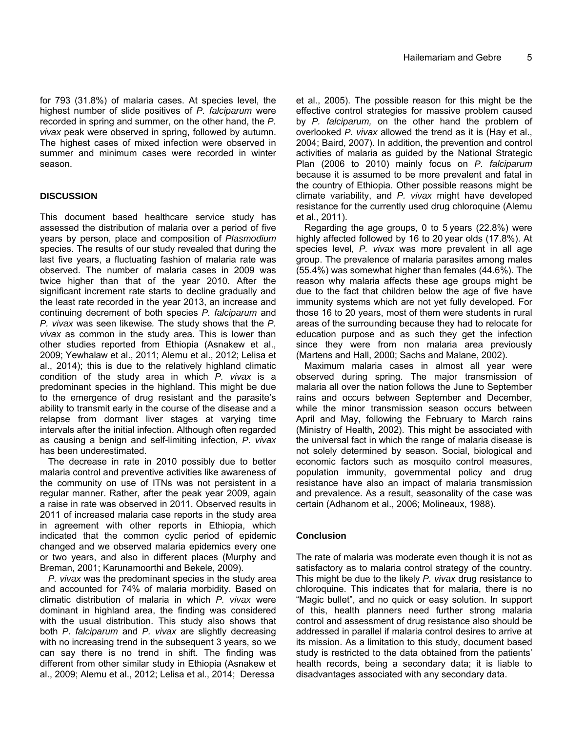for 793 (31.8%) of malaria cases. At species level, the highest number of slide positives of *P. falciparum* were recorded in spring and summer, on the other hand, the *P. vivax* peak were observed in spring, followed by autumn. The highest cases of mixed infection were observed in summer and minimum cases were recorded in winter season.

# **DISCUSSION**

This document based healthcare service study has assessed the distribution of malaria over a period of five years by person, place and composition of *Plasmodium* species. The results of our study revealed that during the last five years, a fluctuating fashion of malaria rate was observed. The number of malaria cases in 2009 was twice higher than that of the year 2010. After the significant increment rate starts to decline gradually and the least rate recorded in the year 2013, an increase and continuing decrement of both species *P. falciparum* and *P. vivax* was seen likewise*.* The study shows that the *P. vivax* as common in the study area. This is lower than other studies reported from Ethiopia (Asnakew et al., 2009; Yewhalaw et al., 2011; Alemu et al., 2012; Lelisa et al., 2014); this is due to the relatively highland climatic condition of the study area in which *P. vivax* is a predominant species in the highland. This might be due to the emergence of drug resistant and the parasite's ability to transmit early in the course of the disease and a relapse from dormant liver stages at varying time intervals after the initial infection. Although often regarded as causing a benign and self-limiting infection, *P. vivax* has been underestimated.

The decrease in rate in 2010 possibly due to better malaria control and preventive activities like awareness of the community on use of ITNs was not persistent in a regular manner. Rather, after the peak year 2009, again a raise in rate was observed in 2011. Observed results in 2011 of increased malaria case reports in the study area in agreement with other reports in Ethiopia, which indicated that the common cyclic period of epidemic changed and we observed malaria epidemics every one or two years, and also in different places (Murphy and Breman, 2001; Karunamoorthi and Bekele, 2009).

*P. vivax* was the predominant species in the study area and accounted for 74% of malaria morbidity. Based on climatic distribution of malaria in which *P. vivax* were dominant in highland area, the finding was considered with the usual distribution. This study also shows that both *P. falciparum* and *P. vivax* are slightly decreasing with no increasing trend in the subsequent 3 years, so we can say there is no trend in shift. The finding was different from other similar study in Ethiopia (Asnakew et al., 2009; Alemu et al., 2012; Lelisa et al., 2014; Deressa

et al., 2005). The possible reason for this might be the effective control strategies for massive problem caused by *P. falciparum,* on the other hand the problem of overlooked *P. vivax* allowed the trend as it is (Hay et al., 2004; Baird, 2007). In addition, the prevention and control activities of malaria as guided by the National Strategic Plan (2006 to 2010) mainly focus on *P. falciparum* because it is assumed to be more prevalent and fatal in the country of Ethiopia. Other possible reasons might be climate variability, and *P. vivax* might have developed resistance for the currently used drug chloroquine (Alemu et al., 2011).

Regarding the age groups, 0 to 5 years (22.8%) were highly affected followed by 16 to 20 year olds (17.8%). At species level, *P. vivax* was more prevalent in all age group. The prevalence of malaria parasites among males (55.4%) was somewhat higher than females (44.6%). The reason why malaria affects these age groups might be due to the fact that children below the age of five have immunity systems which are not yet fully developed. For those 16 to 20 years, most of them were students in rural areas of the surrounding because they had to relocate for education purpose and as such they get the infection since they were from non malaria area previously (Martens and Hall, 2000; Sachs and Malane, 2002).

Maximum malaria cases in almost all year were observed during spring. The major transmission of malaria all over the nation follows the June to September rains and occurs between September and December, while the minor transmission season occurs between April and May, following the February to March rains (Ministry of Health, 2002). This might be associated with the universal fact in which the range of malaria disease is not solely determined by season. Social, biological and economic factors such as mosquito control measures, population immunity, governmental policy and drug resistance have also an impact of malaria transmission and prevalence. As a result, seasonality of the case was certain (Adhanom et al., 2006; Molineaux, 1988).

# **Conclusion**

The rate of malaria was moderate even though it is not as satisfactory as to malaria control strategy of the country. This might be due to the likely *P. vivax* drug resistance to chloroquine. This indicates that for malaria, there is no "Magic bullet", and no quick or easy solution. In support of this, health planners need further strong malaria control and assessment of drug resistance also should be addressed in parallel if malaria control desires to arrive at its mission. As a limitation to this study, document based study is restricted to the data obtained from the patients' health records, being a secondary data; it is liable to disadvantages associated with any secondary data.